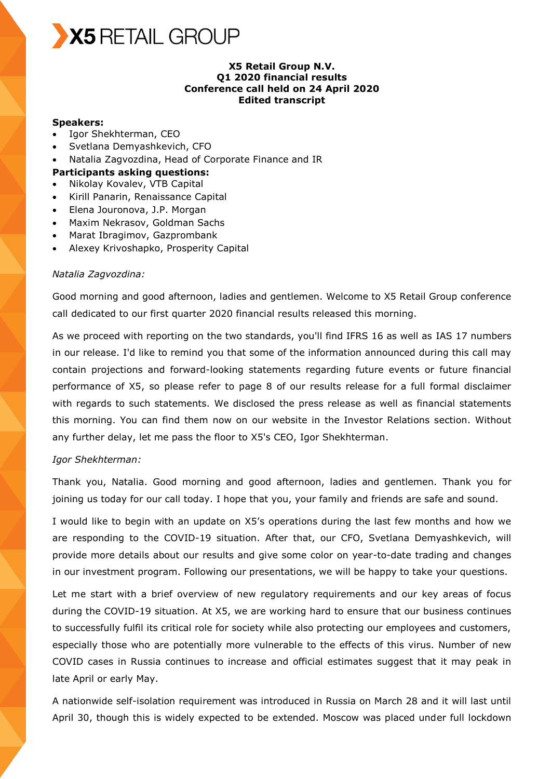

### **X5 Retail Group N.V. Q1 2020 financial results Conference call held on 24 April 2020 Edited transcript**

### **Speakers:**

- Igor Shekhterman, CEO
- Svetlana Demyashkevich, CFO
- Natalia Zagvozdina, Head of Corporate Finance and IR
- **Participants asking questions:**
- Nikolay Kovalev, VTB Capital
- Kirill Panarin, Renaissance Capital
- Elena Jouronova, J.P. Morgan
- Maxim Nekrasov, Goldman Sachs
- Marat Ibragimov, Gazprombank
- Alexey Krivoshapko, Prosperity Capital

### *Natalia Zagvozdina:*

Good morning and good afternoon, ladies and gentlemen. Welcome to X5 Retail Group conference call dedicated to our first quarter 2020 financial results released this morning.

As we proceed with reporting on the two standards, you'll find IFRS 16 as well as IAS 17 numbers in our release. I'd like to remind you that some of the information announced during this call may contain projections and forward-looking statements regarding future events or future financial performance of X5, so please refer to page 8 of our results release for a full formal disclaimer with regards to such statements. We disclosed the press release as well as financial statements this morning. You can find them now on our website in the Investor Relations section. Without any further delay, let me pass the floor to X5's CEO, Igor Shekhterman.

### *Igor Shekhterman:*

Thank you, Natalia. Good morning and good afternoon, ladies and gentlemen. Thank you for joining us today for our call today. I hope that you, your family and friends are safe and sound.

I would like to begin with an update on X5's operations during the last few months and how we are responding to the COVID-19 situation. After that, our CFO, Svetlana Demyashkevich, will provide more details about our results and give some color on year-to-date trading and changes in our investment program. Following our presentations, we will be happy to take your questions.

Let me start with a brief overview of new regulatory requirements and our key areas of focus during the COVID-19 situation. At X5, we are working hard to ensure that our business continues to successfully fulfil its critical role for society while also protecting our employees and customers, especially those who are potentially more vulnerable to the effects of this virus. Number of new COVID cases in Russia continues to increase and official estimates suggest that it may peak in late April or early May.

A nationwide self-isolation requirement was introduced in Russia on March 28 and it will last until April 30, though this is widely expected to be extended. Moscow was placed under full lockdown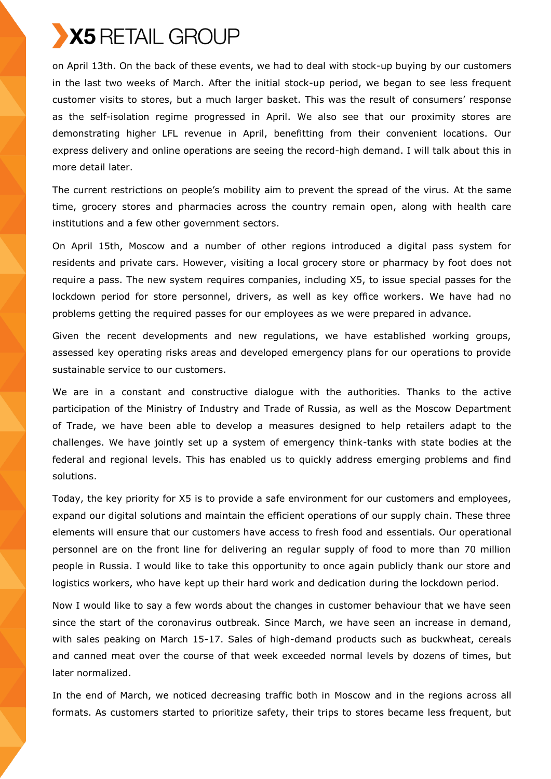on April 13th. On the back of these events, we had to deal with stock-up buying by our customers in the last two weeks of March. After the initial stock-up period, we began to see less frequent customer visits to stores, but a much larger basket. This was the result of consumers' response as the self-isolation regime progressed in April. We also see that our proximity stores are demonstrating higher LFL revenue in April, benefitting from their convenient locations. Our express delivery and online operations are seeing the record-high demand. I will talk about this in more detail later.

The current restrictions on people's mobility aim to prevent the spread of the virus. At the same time, grocery stores and pharmacies across the country remain open, along with health care institutions and a few other government sectors.

On April 15th, Moscow and a number of other regions introduced a digital pass system for residents and private cars. However, visiting a local grocery store or pharmacy by foot does not require a pass. The new system requires companies, including X5, to issue special passes for the lockdown period for store personnel, drivers, as well as key office workers. We have had no problems getting the required passes for our employees as we were prepared in advance.

Given the recent developments and new regulations, we have established working groups, assessed key operating risks areas and developed emergency plans for our operations to provide sustainable service to our customers.

We are in a constant and constructive dialogue with the authorities. Thanks to the active participation of the Ministry of Industry and Trade of Russia, as well as the Moscow Department of Trade, we have been able to develop a measures designed to help retailers adapt to the challenges. We have jointly set up a system of emergency think-tanks with state bodies at the federal and regional levels. This has enabled us to quickly address emerging problems and find solutions.

Today, the key priority for X5 is to provide a safe environment for our customers and employees, expand our digital solutions and maintain the efficient operations of our supply chain. These three elements will ensure that our customers have access to fresh food and essentials. Our operational personnel are on the front line for delivering an regular supply of food to more than 70 million people in Russia. I would like to take this opportunity to once again publicly thank our store and logistics workers, who have kept up their hard work and dedication during the lockdown period.

Now I would like to say a few words about the changes in customer behaviour that we have seen since the start of the coronavirus outbreak. Since March, we have seen an increase in demand, with sales peaking on March 15-17. Sales of high-demand products such as buckwheat, cereals and canned meat over the course of that week exceeded normal levels by dozens of times, but later normalized.

In the end of March, we noticed decreasing traffic both in Moscow and in the regions across all formats. As customers started to prioritize safety, their trips to stores became less frequent, but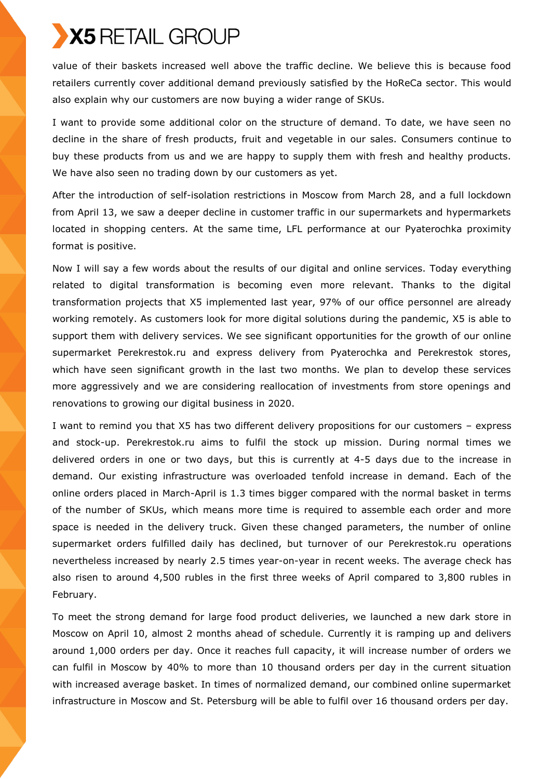value of their baskets increased well above the traffic decline. We believe this is because food retailers currently cover additional demand previously satisfied by the HoReCa sector. This would also explain why our customers are now buying a wider range of SKUs.

I want to provide some additional color on the structure of demand. To date, we have seen no decline in the share of fresh products, fruit and vegetable in our sales. Consumers continue to buy these products from us and we are happy to supply them with fresh and healthy products. We have also seen no trading down by our customers as yet.

After the introduction of self-isolation restrictions in Moscow from March 28, and a full lockdown from April 13, we saw a deeper decline in customer traffic in our supermarkets and hypermarkets located in shopping centers. At the same time, LFL performance at our Pyaterochka proximity format is positive.

Now I will say a few words about the results of our digital and online services. Today everything related to digital transformation is becoming even more relevant. Thanks to the digital transformation projects that X5 implemented last year, 97% of our office personnel are already working remotely. As customers look for more digital solutions during the pandemic, X5 is able to support them with delivery services. We see significant opportunities for the growth of our online supermarket Perekrestok.ru and express delivery from Pyaterochka and Perekrestok stores, which have seen significant growth in the last two months. We plan to develop these services more aggressively and we are considering reallocation of investments from store openings and renovations to growing our digital business in 2020.

I want to remind you that X5 has two different delivery propositions for our customers – express and stock-up. Perekrestok.ru aims to fulfil the stock up mission. During normal times we delivered orders in one or two days, but this is currently at 4-5 days due to the increase in demand. Our existing infrastructure was overloaded tenfold increase in demand. Each of the online orders placed in March-April is 1.3 times bigger compared with the normal basket in terms of the number of SKUs, which means more time is required to assemble each order and more space is needed in the delivery truck. Given these changed parameters, the number of online supermarket orders fulfilled daily has declined, but turnover of our Perekrestok.ru operations nevertheless increased by nearly 2.5 times year-on-year in recent weeks. The average check has also risen to around 4,500 rubles in the first three weeks of April compared to 3,800 rubles in February.

To meet the strong demand for large food product deliveries, we launched a new dark store in Moscow on April 10, almost 2 months ahead of schedule. Currently it is ramping up and delivers around 1,000 orders per day. Once it reaches full capacity, it will increase number of orders we can fulfil in Moscow by 40% to more than 10 thousand orders per day in the current situation with increased average basket. In times of normalized demand, our combined online supermarket infrastructure in Moscow and St. Petersburg will be able to fulfil over 16 thousand orders per day.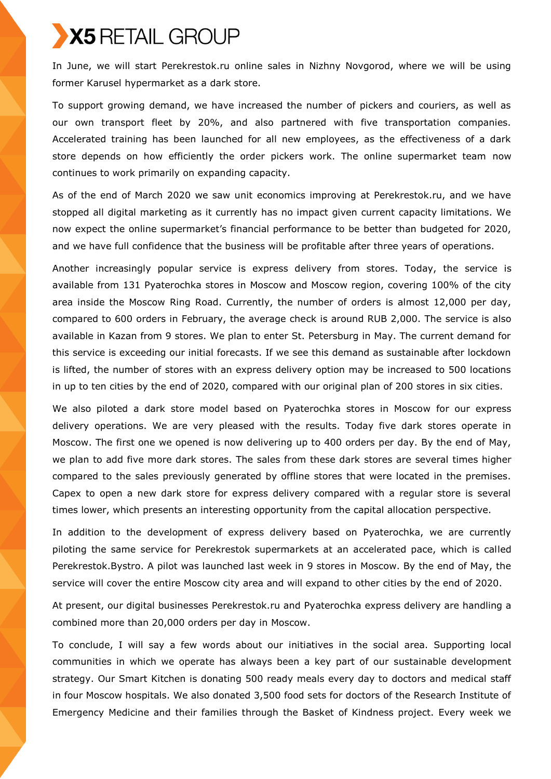In June, we will start Perekrestok.ru online sales in Nizhny Novgorod, where we will be using former Karusel hypermarket as a dark store.

To support growing demand, we have increased the number of pickers and couriers, as well as our own transport fleet by 20%, and also partnered with five transportation companies. Accelerated training has been launched for all new employees, as the effectiveness of a dark store depends on how efficiently the order pickers work. The online supermarket team now continues to work primarily on expanding capacity.

As of the end of March 2020 we saw unit economics improving at Perekrestok.ru, and we have stopped all digital marketing as it currently has no impact given current capacity limitations. We now expect the online supermarket's financial performance to be better than budgeted for 2020, and we have full confidence that the business will be profitable after three years of operations.

Another increasingly popular service is express delivery from stores. Today, the service is available from 131 Pyaterochka stores in Moscow and Moscow region, covering 100% of the city area inside the Moscow Ring Road. Currently, the number of orders is almost 12,000 per day, compared to 600 orders in February, the average check is around RUB 2,000. The service is also available in Kazan from 9 stores. We plan to enter St. Petersburg in May. The current demand for this service is exceeding our initial forecasts. If we see this demand as sustainable after lockdown is lifted, the number of stores with an express delivery option may be increased to 500 locations in up to ten cities by the end of 2020, compared with our original plan of 200 stores in six cities.

We also piloted a dark store model based on Pyaterochka stores in Moscow for our express delivery operations. We are very pleased with the results. Today five dark stores operate in Moscow. The first one we opened is now delivering up to 400 orders per day. By the end of May, we plan to add five more dark stores. The sales from these dark stores are several times higher compared to the sales previously generated by offline stores that were located in the premises. Capex to open a new dark store for express delivery compared with a regular store is several times lower, which presents an interesting opportunity from the capital allocation perspective.

In addition to the development of express delivery based on Pyaterochka, we are currently piloting the same service for Perekrestok supermarkets at an accelerated pace, which is called Perekrestok.Bystro. A pilot was launched last week in 9 stores in Moscow. By the end of May, the service will cover the entire Moscow city area and will expand to other cities by the end of 2020.

At present, our digital businesses Perekrestok.ru and Pyaterochka express delivery are handling a combined more than 20,000 orders per day in Moscow.

To conclude, I will say a few words about our initiatives in the social area. Supporting local communities in which we operate has always been a key part of our sustainable development strategy. Our Smart Kitchen is donating 500 ready meals every day to doctors and medical staff in four Moscow hospitals. We also donated 3,500 food sets for doctors of the Research Institute of Emergency Medicine and their families through the Basket of Kindness project. Every week we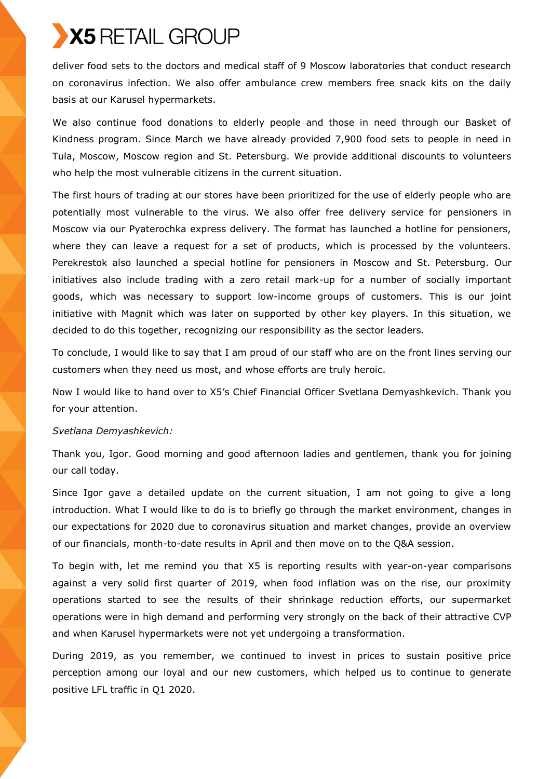deliver food sets to the doctors and medical staff of 9 Moscow laboratories that conduct research on coronavirus infection. We also offer ambulance crew members free snack kits on the daily basis at our Karusel hypermarkets.

We also continue food donations to elderly people and those in need through our Basket of Kindness program. Since March we have already provided 7,900 food sets to people in need in Tula, Moscow, Moscow region and St. Petersburg. We provide additional discounts to volunteers who help the most vulnerable citizens in the current situation.

The first hours of trading at our stores have been prioritized for the use of elderly people who are potentially most vulnerable to the virus. We also offer free delivery service for pensioners in Moscow via our Pyaterochka express delivery. The format has launched a hotline for pensioners, where they can leave a request for a set of products, which is processed by the volunteers. Perekrestok also launched a special hotline for pensioners in Moscow and St. Petersburg. Our initiatives also include trading with a zero retail mark-up for a number of socially important goods, which was necessary to support low-income groups of customers. This is our joint initiative with Magnit which was later on supported by other key players. In this situation, we decided to do this together, recognizing our responsibility as the sector leaders.

To conclude, I would like to say that I am proud of our staff who are on the front lines serving our customers when they need us most, and whose efforts are truly heroic.

Now I would like to hand over to X5's Chief Financial Officer Svetlana Demyashkevich. Thank you for your attention.

## *Svetlana Demyashkevich:*

Thank you, Igor. Good morning and good afternoon ladies and gentlemen, thank you for joining our call today.

Since Igor gave a detailed update on the current situation, I am not going to give a long introduction. What I would like to do is to briefly go through the market environment, changes in our expectations for 2020 due to coronavirus situation and market changes, provide an overview of our financials, month-to-date results in April and then move on to the Q&A session.

To begin with, let me remind you that X5 is reporting results with year-on-year comparisons against a very solid first quarter of 2019, when food inflation was on the rise, our proximity operations started to see the results of their shrinkage reduction efforts, our supermarket operations were in high demand and performing very strongly on the back of their attractive CVP and when Karusel hypermarkets were not yet undergoing a transformation.

During 2019, as you remember, we continued to invest in prices to sustain positive price perception among our loyal and our new customers, which helped us to continue to generate positive LFL traffic in Q1 2020.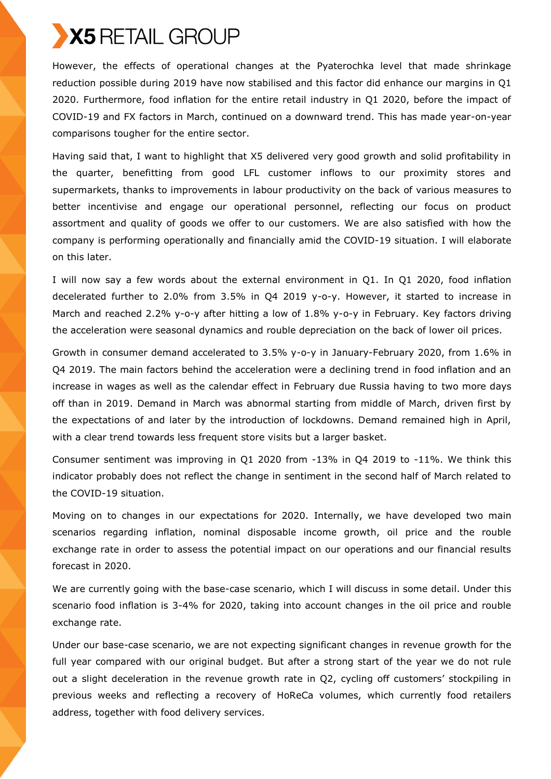

However, the effects of operational changes at the Pyaterochka level that made shrinkage reduction possible during 2019 have now stabilised and this factor did enhance our margins in Q1 2020. Furthermore, food inflation for the entire retail industry in Q1 2020, before the impact of COVID-19 and FX factors in March, continued on a downward trend. This has made year-on-year comparisons tougher for the entire sector.

Having said that, I want to highlight that X5 delivered very good growth and solid profitability in the quarter, benefitting from good LFL customer inflows to our proximity stores and supermarkets, thanks to improvements in labour productivity on the back of various measures to better incentivise and engage our operational personnel, reflecting our focus on product assortment and quality of goods we offer to our customers. We are also satisfied with how the company is performing operationally and financially amid the COVID-19 situation. I will elaborate on this later.

I will now say a few words about the external environment in Q1. In Q1 2020, food inflation decelerated further to 2.0% from 3.5% in Q4 2019 y-o-y. However, it started to increase in March and reached 2.2% y-o-y after hitting a low of 1.8% y-o-y in February. Key factors driving the acceleration were seasonal dynamics and rouble depreciation on the back of lower oil prices.

Growth in consumer demand accelerated to 3.5% y-o-y in January-February 2020, from 1.6% in Q4 2019. The main factors behind the acceleration were a declining trend in food inflation and an increase in wages as well as the calendar effect in February due Russia having to two more days off than in 2019. Demand in March was abnormal starting from middle of March, driven first by the expectations of and later by the introduction of lockdowns. Demand remained high in April, with a clear trend towards less frequent store visits but a larger basket.

Consumer sentiment was improving in Q1 2020 from -13% in Q4 2019 to -11%. We think this indicator probably does not reflect the change in sentiment in the second half of March related to the COVID-19 situation.

Moving on to changes in our expectations for 2020. Internally, we have developed two main scenarios regarding inflation, nominal disposable income growth, oil price and the rouble exchange rate in order to assess the potential impact on our operations and our financial results forecast in 2020.

We are currently going with the base-case scenario, which I will discuss in some detail. Under this scenario food inflation is 3-4% for 2020, taking into account changes in the oil price and rouble exchange rate.

Under our base-case scenario, we are not expecting significant changes in revenue growth for the full year compared with our original budget. But after a strong start of the year we do not rule out a slight deceleration in the revenue growth rate in Q2, cycling off customers' stockpiling in previous weeks and reflecting a recovery of HoReCa volumes, which currently food retailers address, together with food delivery services.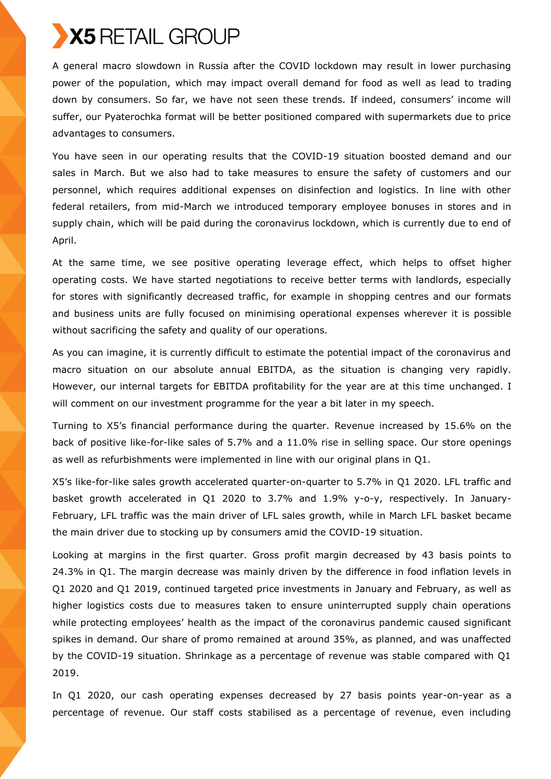A general macro slowdown in Russia after the COVID lockdown may result in lower purchasing power of the population, which may impact overall demand for food as well as lead to trading down by consumers. So far, we have not seen these trends. If indeed, consumers' income will suffer, our Pyaterochka format will be better positioned compared with supermarkets due to price advantages to consumers.

You have seen in our operating results that the COVID-19 situation boosted demand and our sales in March. But we also had to take measures to ensure the safety of customers and our personnel, which requires additional expenses on disinfection and logistics. In line with other federal retailers, from mid-March we introduced temporary employee bonuses in stores and in supply chain, which will be paid during the coronavirus lockdown, which is currently due to end of April.

At the same time, we see positive operating leverage effect, which helps to offset higher operating costs. We have started negotiations to receive better terms with landlords, especially for stores with significantly decreased traffic, for example in shopping centres and our formats and business units are fully focused on minimising operational expenses wherever it is possible without sacrificing the safety and quality of our operations.

As you can imagine, it is currently difficult to estimate the potential impact of the coronavirus and macro situation on our absolute annual EBITDA, as the situation is changing very rapidly. However, our internal targets for EBITDA profitability for the year are at this time unchanged. I will comment on our investment programme for the year a bit later in my speech.

Turning to X5's financial performance during the quarter. Revenue increased by 15.6% on the back of positive like-for-like sales of 5.7% and a 11.0% rise in selling space. Our store openings as well as refurbishments were implemented in line with our original plans in Q1.

X5's like-for-like sales growth accelerated quarter-on-quarter to 5.7% in Q1 2020. LFL traffic and basket growth accelerated in Q1 2020 to 3.7% and 1.9% y-o-y, respectively. In January-February, LFL traffic was the main driver of LFL sales growth, while in March LFL basket became the main driver due to stocking up by consumers amid the COVID-19 situation.

Looking at margins in the first quarter. Gross profit margin decreased by 43 basis points to 24.3% in Q1. The margin decrease was mainly driven by the difference in food inflation levels in Q1 2020 and Q1 2019, continued targeted price investments in January and February, as well as higher logistics costs due to measures taken to ensure uninterrupted supply chain operations while protecting employees' health as the impact of the coronavirus pandemic caused significant spikes in demand. Our share of promo remained at around 35%, as planned, and was unaffected by the COVID-19 situation. Shrinkage as a percentage of revenue was stable compared with Q1 2019.

In Q1 2020, our cash operating expenses decreased by 27 basis points year-on-year as a percentage of revenue. Our staff costs stabilised as a percentage of revenue, even including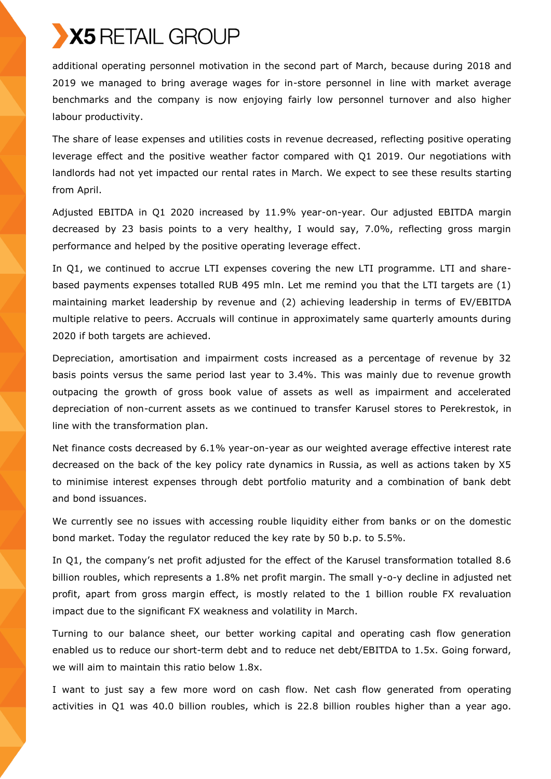additional operating personnel motivation in the second part of March, because during 2018 and 2019 we managed to bring average wages for in-store personnel in line with market average benchmarks and the company is now enjoying fairly low personnel turnover and also higher labour productivity.

The share of lease expenses and utilities costs in revenue decreased, reflecting positive operating leverage effect and the positive weather factor compared with Q1 2019. Our negotiations with landlords had not yet impacted our rental rates in March. We expect to see these results starting from April.

Adjusted EBITDA in Q1 2020 increased by 11.9% year-on-year. Our adjusted EBITDA margin decreased by 23 basis points to a very healthy, I would say, 7.0%, reflecting gross margin performance and helped by the positive operating leverage effect.

In Q1, we continued to accrue LTI expenses covering the new LTI programme. LTI and sharebased payments expenses totalled RUB 495 mln. Let me remind you that the LTI targets are (1) maintaining market leadership by revenue and (2) achieving leadership in terms of EV/EBITDA multiple relative to peers. Accruals will continue in approximately same quarterly amounts during 2020 if both targets are achieved.

Depreciation, amortisation and impairment costs increased as a percentage of revenue by 32 basis points versus the same period last year to 3.4%. This was mainly due to revenue growth outpacing the growth of gross book value of assets as well as impairment and accelerated depreciation of non-current assets as we continued to transfer Karusel stores to Perekrestok, in line with the transformation plan.

Net finance costs decreased by 6.1% year-on-year as our weighted average effective interest rate decreased on the back of the key policy rate dynamics in Russia, as well as actions taken by X5 to minimise interest expenses through debt portfolio maturity and a combination of bank debt and bond issuances.

We currently see no issues with accessing rouble liquidity either from banks or on the domestic bond market. Today the regulator reduced the key rate by 50 b.p. to 5.5%.

In Q1, the company's net profit adjusted for the effect of the Karusel transformation totalled 8.6 billion roubles, which represents a 1.8% net profit margin. The small y-o-y decline in adjusted net profit, apart from gross margin effect, is mostly related to the 1 billion rouble FX revaluation impact due to the significant FX weakness and volatility in March.

Turning to our balance sheet, our better working capital and operating cash flow generation enabled us to reduce our short-term debt and to reduce net debt/EBITDA to 1.5x. Going forward, we will aim to maintain this ratio below 1.8x.

I want to just say a few more word on cash flow. Net cash flow generated from operating activities in Q1 was 40.0 billion roubles, which is 22.8 billion roubles higher than a year ago.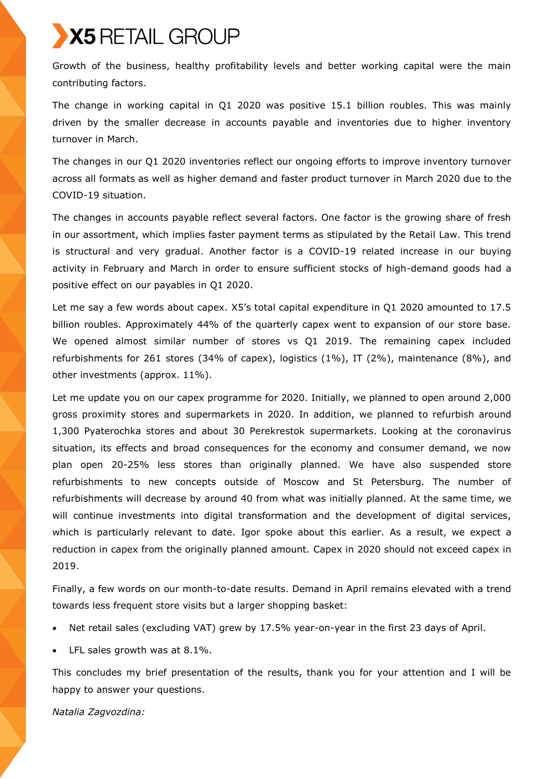Growth of the business, healthy profitability levels and better working capital were the main contributing factors.

The change in working capital in Q1 2020 was positive 15.1 billion roubles. This was mainly driven by the smaller decrease in accounts payable and inventories due to higher inventory turnover in March.

The changes in our Q1 2020 inventories reflect our ongoing efforts to improve inventory turnover across all formats as well as higher demand and faster product turnover in March 2020 due to the COVID-19 situation.

The changes in accounts payable reflect several factors. One factor is the growing share of fresh in our assortment, which implies faster payment terms as stipulated by the Retail Law. This trend is structural and very gradual. Another factor is a COVID-19 related increase in our buying activity in February and March in order to ensure sufficient stocks of high-demand goods had a positive effect on our payables in Q1 2020.

Let me say a few words about capex. X5's total capital expenditure in Q1 2020 amounted to 17.5 billion roubles. Approximately 44% of the quarterly capex went to expansion of our store base. We opened almost similar number of stores vs Q1 2019. The remaining capex included refurbishments for 261 stores (34% of capex), logistics (1%), IT (2%), maintenance (8%), and other investments (approx. 11%).

Let me update you on our capex programme for 2020. Initially, we planned to open around 2,000 gross proximity stores and supermarkets in 2020. In addition, we planned to refurbish around 1,300 Pyaterochka stores and about 30 Perekrestok supermarkets. Looking at the coronavirus situation, its effects and broad consequences for the economy and consumer demand, we now plan open 20-25% less stores than originally planned. We have also suspended store refurbishments to new concepts outside of Moscow and St Petersburg. The number of refurbishments will decrease by around 40 from what was initially planned. At the same time, we will continue investments into digital transformation and the development of digital services, which is particularly relevant to date. Igor spoke about this earlier. As a result, we expect a reduction in capex from the originally planned amount. Capex in 2020 should not exceed capex in 2019.

Finally, a few words on our month-to-date results. Demand in April remains elevated with a trend towards less frequent store visits but a larger shopping basket:

- Net retail sales (excluding VAT) grew by 17.5% year-on-year in the first 23 days of April.
- LFL sales growth was at 8.1%.

This concludes my brief presentation of the results, thank you for your attention and I will be happy to answer your questions.

*Natalia Zagvozdina:*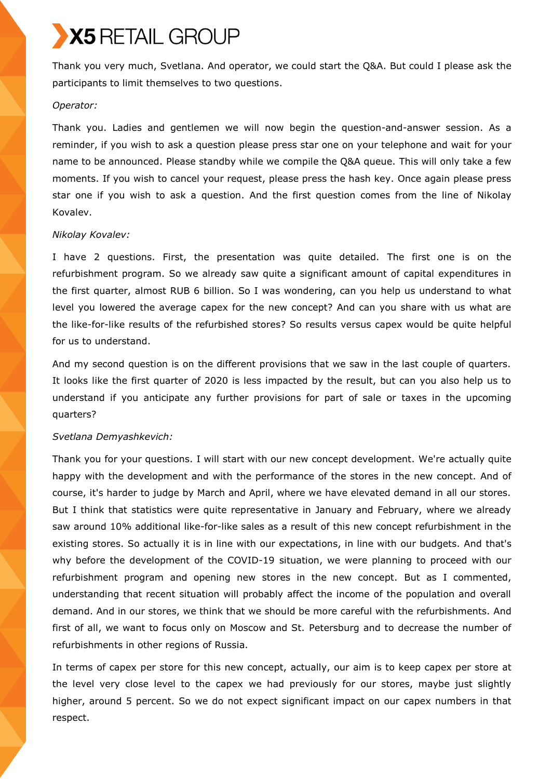Thank you very much, Svetlana. And operator, we could start the Q&A. But could I please ask the participants to limit themselves to two questions.

### *Operator:*

Thank you. Ladies and gentlemen we will now begin the question-and-answer session. As a reminder, if you wish to ask a question please press star one on your telephone and wait for your name to be announced. Please standby while we compile the Q&A queue. This will only take a few moments. If you wish to cancel your request, please press the hash key. Once again please press star one if you wish to ask a question. And the first question comes from the line of Nikolay Kovalev.

## *Nikolay Kovalev:*

I have 2 questions. First, the presentation was quite detailed. The first one is on the refurbishment program. So we already saw quite a significant amount of capital expenditures in the first quarter, almost RUB 6 billion. So I was wondering, can you help us understand to what level you lowered the average capex for the new concept? And can you share with us what are the like-for-like results of the refurbished stores? So results versus capex would be quite helpful for us to understand.

And my second question is on the different provisions that we saw in the last couple of quarters. It looks like the first quarter of 2020 is less impacted by the result, but can you also help us to understand if you anticipate any further provisions for part of sale or taxes in the upcoming quarters?

## *Svetlana Demyashkevich:*

Thank you for your questions. I will start with our new concept development. We're actually quite happy with the development and with the performance of the stores in the new concept. And of course, it's harder to judge by March and April, where we have elevated demand in all our stores. But I think that statistics were quite representative in January and February, where we already saw around 10% additional like-for-like sales as a result of this new concept refurbishment in the existing stores. So actually it is in line with our expectations, in line with our budgets. And that's why before the development of the COVID-19 situation, we were planning to proceed with our refurbishment program and opening new stores in the new concept. But as I commented, understanding that recent situation will probably affect the income of the population and overall demand. And in our stores, we think that we should be more careful with the refurbishments. And first of all, we want to focus only on Moscow and St. Petersburg and to decrease the number of refurbishments in other regions of Russia.

In terms of capex per store for this new concept, actually, our aim is to keep capex per store at the level very close level to the capex we had previously for our stores, maybe just slightly higher, around 5 percent. So we do not expect significant impact on our capex numbers in that respect.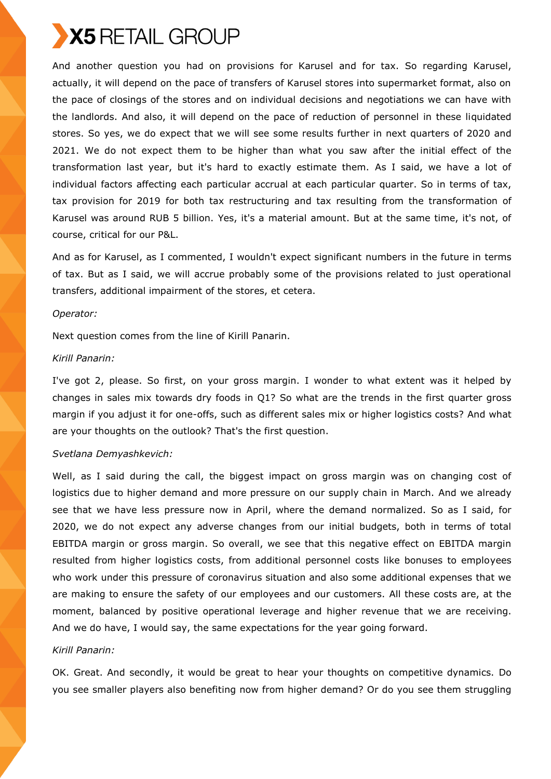

And another question you had on provisions for Karusel and for tax. So regarding Karusel, actually, it will depend on the pace of transfers of Karusel stores into supermarket format, also on the pace of closings of the stores and on individual decisions and negotiations we can have with the landlords. And also, it will depend on the pace of reduction of personnel in these liquidated stores. So yes, we do expect that we will see some results further in next quarters of 2020 and 2021. We do not expect them to be higher than what you saw after the initial effect of the transformation last year, but it's hard to exactly estimate them. As I said, we have a lot of individual factors affecting each particular accrual at each particular quarter. So in terms of tax, tax provision for 2019 for both tax restructuring and tax resulting from the transformation of Karusel was around RUB 5 billion. Yes, it's a material amount. But at the same time, it's not, of course, critical for our P&L.

And as for Karusel, as I commented, I wouldn't expect significant numbers in the future in terms of tax. But as I said, we will accrue probably some of the provisions related to just operational transfers, additional impairment of the stores, et cetera.

#### *Operator:*

Next question comes from the line of Kirill Panarin.

### *Kirill Panarin:*

I've got 2, please. So first, on your gross margin. I wonder to what extent was it helped by changes in sales mix towards dry foods in Q1? So what are the trends in the first quarter gross margin if you adjust it for one-offs, such as different sales mix or higher logistics costs? And what are your thoughts on the outlook? That's the first question.

#### *Svetlana Demyashkevich:*

Well, as I said during the call, the biggest impact on gross margin was on changing cost of logistics due to higher demand and more pressure on our supply chain in March. And we already see that we have less pressure now in April, where the demand normalized. So as I said, for 2020, we do not expect any adverse changes from our initial budgets, both in terms of total EBITDA margin or gross margin. So overall, we see that this negative effect on EBITDA margin resulted from higher logistics costs, from additional personnel costs like bonuses to employees who work under this pressure of coronavirus situation and also some additional expenses that we are making to ensure the safety of our employees and our customers. All these costs are, at the moment, balanced by positive operational leverage and higher revenue that we are receiving. And we do have, I would say, the same expectations for the year going forward.

### *Kirill Panarin:*

OK. Great. And secondly, it would be great to hear your thoughts on competitive dynamics. Do you see smaller players also benefiting now from higher demand? Or do you see them struggling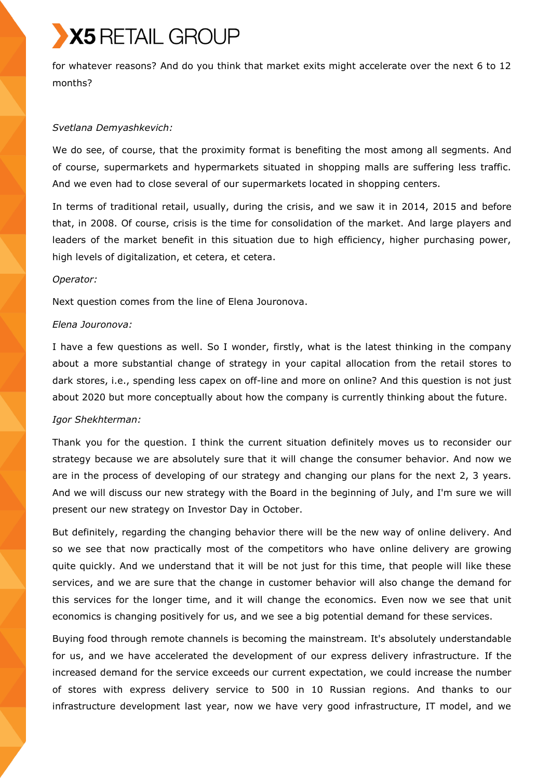for whatever reasons? And do you think that market exits might accelerate over the next 6 to 12 months?

### *Svetlana Demyashkevich:*

We do see, of course, that the proximity format is benefiting the most among all segments. And of course, supermarkets and hypermarkets situated in shopping malls are suffering less traffic. And we even had to close several of our supermarkets located in shopping centers.

In terms of traditional retail, usually, during the crisis, and we saw it in 2014, 2015 and before that, in 2008. Of course, crisis is the time for consolidation of the market. And large players and leaders of the market benefit in this situation due to high efficiency, higher purchasing power, high levels of digitalization, et cetera, et cetera.

### *Operator:*

Next question comes from the line of Elena Jouronova.

### *Elena Jouronova:*

I have a few questions as well. So I wonder, firstly, what is the latest thinking in the company about a more substantial change of strategy in your capital allocation from the retail stores to dark stores, i.e., spending less capex on off-line and more on online? And this question is not just about 2020 but more conceptually about how the company is currently thinking about the future.

### *Igor Shekhterman:*

Thank you for the question. I think the current situation definitely moves us to reconsider our strategy because we are absolutely sure that it will change the consumer behavior. And now we are in the process of developing of our strategy and changing our plans for the next 2, 3 years. And we will discuss our new strategy with the Board in the beginning of July, and I'm sure we will present our new strategy on Investor Day in October.

But definitely, regarding the changing behavior there will be the new way of online delivery. And so we see that now practically most of the competitors who have online delivery are growing quite quickly. And we understand that it will be not just for this time, that people will like these services, and we are sure that the change in customer behavior will also change the demand for this services for the longer time, and it will change the economics. Even now we see that unit economics is changing positively for us, and we see a big potential demand for these services.

Buying food through remote channels is becoming the mainstream. It's absolutely understandable for us, and we have accelerated the development of our express delivery infrastructure. If the increased demand for the service exceeds our current expectation, we could increase the number of stores with express delivery service to 500 in 10 Russian regions. And thanks to our infrastructure development last year, now we have very good infrastructure, IT model, and we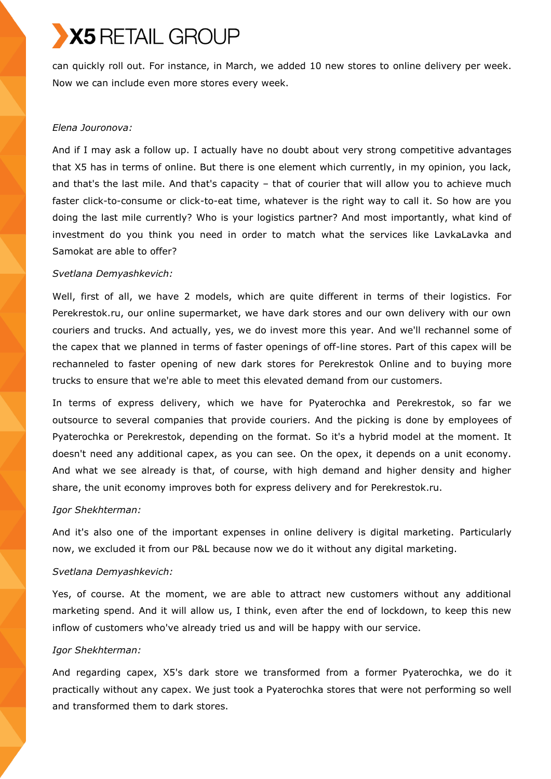can quickly roll out. For instance, in March, we added 10 new stores to online delivery per week. Now we can include even more stores every week.

### *Elena Jouronova:*

And if I may ask a follow up. I actually have no doubt about very strong competitive advantages that X5 has in terms of online. But there is one element which currently, in my opinion, you lack, and that's the last mile. And that's capacity – that of courier that will allow you to achieve much faster click-to-consume or click-to-eat time, whatever is the right way to call it. So how are you doing the last mile currently? Who is your logistics partner? And most importantly, what kind of investment do you think you need in order to match what the services like LavkaLavka and Samokat are able to offer?

### *Svetlana Demyashkevich:*

Well, first of all, we have 2 models, which are quite different in terms of their logistics. For Perekrestok.ru, our online supermarket, we have dark stores and our own delivery with our own couriers and trucks. And actually, yes, we do invest more this year. And we'll rechannel some of the capex that we planned in terms of faster openings of off-line stores. Part of this capex will be rechanneled to faster opening of new dark stores for Perekrestok Online and to buying more trucks to ensure that we're able to meet this elevated demand from our customers.

In terms of express delivery, which we have for Pyaterochka and Perekrestok, so far we outsource to several companies that provide couriers. And the picking is done by employees of Pyaterochka or Perekrestok, depending on the format. So it's a hybrid model at the moment. It doesn't need any additional capex, as you can see. On the opex, it depends on a unit economy. And what we see already is that, of course, with high demand and higher density and higher share, the unit economy improves both for express delivery and for Perekrestok.ru.

### *Igor Shekhterman:*

And it's also one of the important expenses in online delivery is digital marketing. Particularly now, we excluded it from our P&L because now we do it without any digital marketing.

## *Svetlana Demyashkevich:*

Yes, of course. At the moment, we are able to attract new customers without any additional marketing spend. And it will allow us, I think, even after the end of lockdown, to keep this new inflow of customers who've already tried us and will be happy with our service.

### *Igor Shekhterman:*

And regarding capex, X5's dark store we transformed from a former Pyaterochka, we do it practically without any capex. We just took a Pyaterochka stores that were not performing so well and transformed them to dark stores.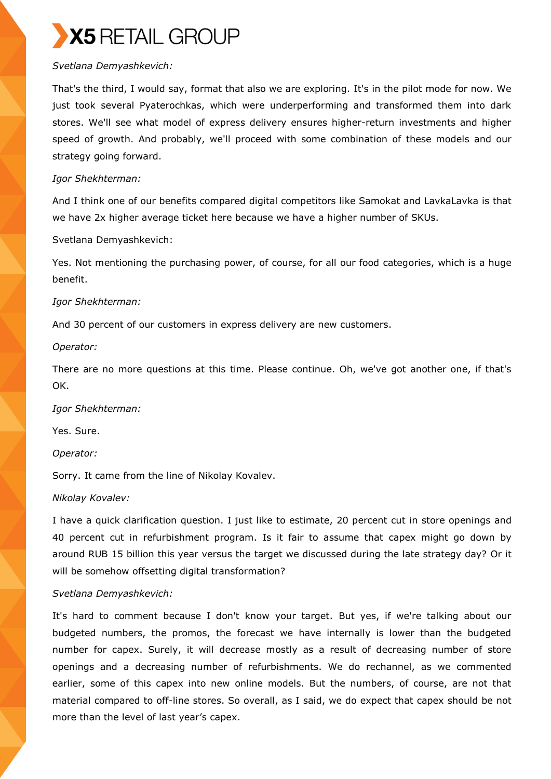## *Svetlana Demyashkevich:*

That's the third, I would say, format that also we are exploring. It's in the pilot mode for now. We just took several Pyaterochkas, which were underperforming and transformed them into dark stores. We'll see what model of express delivery ensures higher-return investments and higher speed of growth. And probably, we'll proceed with some combination of these models and our strategy going forward.

## *Igor Shekhterman:*

And I think one of our benefits compared digital competitors like Samokat and LavkaLavka is that we have 2x higher average ticket here because we have a higher number of SKUs.

Svetlana Demyashkevich:

Yes. Not mentioning the purchasing power, of course, for all our food categories, which is a huge benefit.

## *Igor Shekhterman:*

And 30 percent of our customers in express delivery are new customers.

*Operator:*

There are no more questions at this time. Please continue. Oh, we've got another one, if that's OK.

*Igor Shekhterman:*

Yes. Sure.

*Operator:*

Sorry. It came from the line of Nikolay Kovalev.

## *Nikolay Kovalev:*

I have a quick clarification question. I just like to estimate, 20 percent cut in store openings and 40 percent cut in refurbishment program. Is it fair to assume that capex might go down by around RUB 15 billion this year versus the target we discussed during the late strategy day? Or it will be somehow offsetting digital transformation?

## *Svetlana Demyashkevich:*

It's hard to comment because I don't know your target. But yes, if we're talking about our budgeted numbers, the promos, the forecast we have internally is lower than the budgeted number for capex. Surely, it will decrease mostly as a result of decreasing number of store openings and a decreasing number of refurbishments. We do rechannel, as we commented earlier, some of this capex into new online models. But the numbers, of course, are not that material compared to off-line stores. So overall, as I said, we do expect that capex should be not more than the level of last year's capex.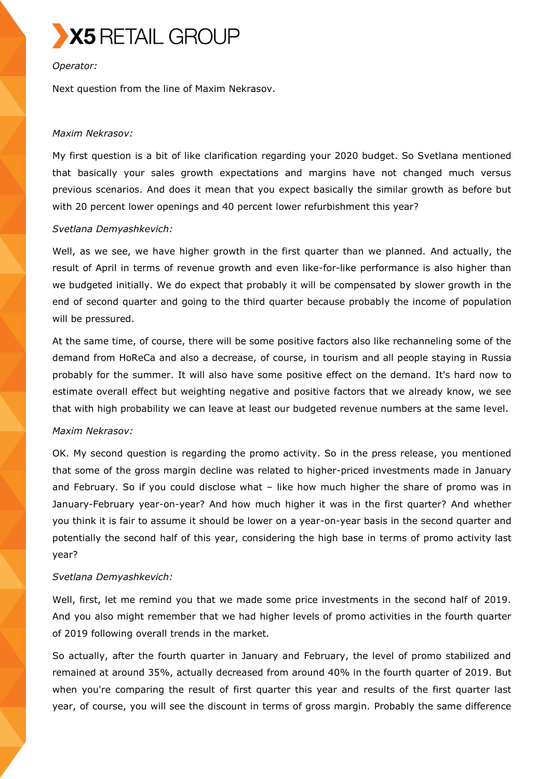

### *Operator:*

Next question from the line of Maxim Nekrasov.

### *Maxim Nekrasov:*

My first question is a bit of like clarification regarding your 2020 budget. So Svetlana mentioned that basically your sales growth expectations and margins have not changed much versus previous scenarios. And does it mean that you expect basically the similar growth as before but with 20 percent lower openings and 40 percent lower refurbishment this year?

### *Svetlana Demyashkevich:*

Well, as we see, we have higher growth in the first quarter than we planned. And actually, the result of April in terms of revenue growth and even like-for-like performance is also higher than we budgeted initially. We do expect that probably it will be compensated by slower growth in the end of second quarter and going to the third quarter because probably the income of population will be pressured.

At the same time, of course, there will be some positive factors also like rechanneling some of the demand from HoReCa and also a decrease, of course, in tourism and all people staying in Russia probably for the summer. It will also have some positive effect on the demand. It's hard now to estimate overall effect but weighting negative and positive factors that we already know, we see that with high probability we can leave at least our budgeted revenue numbers at the same level.

### *Maxim Nekrasov:*

OK. My second question is regarding the promo activity. So in the press release, you mentioned that some of the gross margin decline was related to higher-priced investments made in January and February. So if you could disclose what – like how much higher the share of promo was in January-February year-on-year? And how much higher it was in the first quarter? And whether you think it is fair to assume it should be lower on a year-on-year basis in the second quarter and potentially the second half of this year, considering the high base in terms of promo activity last year?

### *Svetlana Demyashkevich:*

Well, first, let me remind you that we made some price investments in the second half of 2019. And you also might remember that we had higher levels of promo activities in the fourth quarter of 2019 following overall trends in the market.

So actually, after the fourth quarter in January and February, the level of promo stabilized and remained at around 35%, actually decreased from around 40% in the fourth quarter of 2019. But when you're comparing the result of first quarter this year and results of the first quarter last year, of course, you will see the discount in terms of gross margin. Probably the same difference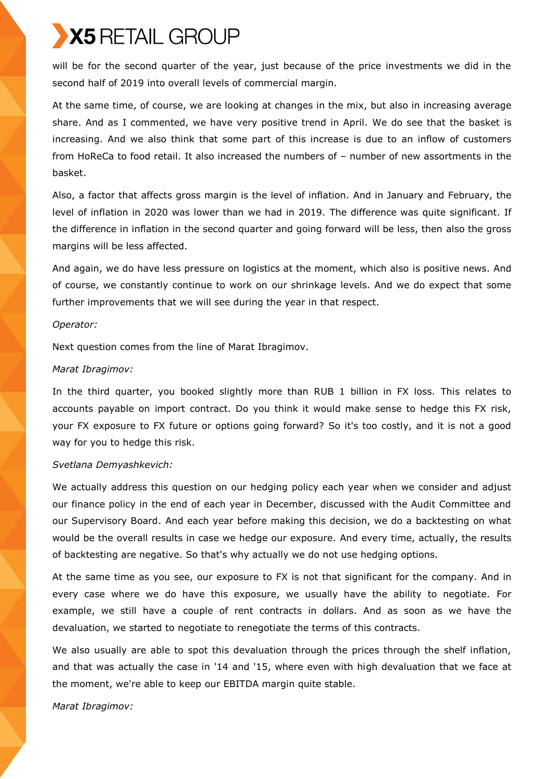will be for the second quarter of the year, just because of the price investments we did in the second half of 2019 into overall levels of commercial margin.

At the same time, of course, we are looking at changes in the mix, but also in increasing average share. And as I commented, we have very positive trend in April. We do see that the basket is increasing. And we also think that some part of this increase is due to an inflow of customers from HoReCa to food retail. It also increased the numbers of – number of new assortments in the basket.

Also, a factor that affects gross margin is the level of inflation. And in January and February, the level of inflation in 2020 was lower than we had in 2019. The difference was quite significant. If the difference in inflation in the second quarter and going forward will be less, then also the gross margins will be less affected.

And again, we do have less pressure on logistics at the moment, which also is positive news. And of course, we constantly continue to work on our shrinkage levels. And we do expect that some further improvements that we will see during the year in that respect.

### *Operator:*

Next question comes from the line of Marat Ibragimov.

### *Marat Ibragimov:*

In the third quarter, you booked slightly more than RUB 1 billion in FX loss. This relates to accounts payable on import contract. Do you think it would make sense to hedge this FX risk, your FX exposure to FX future or options going forward? So it's too costly, and it is not a good way for you to hedge this risk.

### *Svetlana Demyashkevich:*

We actually address this question on our hedging policy each year when we consider and adjust our finance policy in the end of each year in December, discussed with the Audit Committee and our Supervisory Board. And each year before making this decision, we do a backtesting on what would be the overall results in case we hedge our exposure. And every time, actually, the results of backtesting are negative. So that's why actually we do not use hedging options.

At the same time as you see, our exposure to FX is not that significant for the company. And in every case where we do have this exposure, we usually have the ability to negotiate. For example, we still have a couple of rent contracts in dollars. And as soon as we have the devaluation, we started to negotiate to renegotiate the terms of this contracts.

We also usually are able to spot this devaluation through the prices through the shelf inflation, and that was actually the case in '14 and '15, where even with high devaluation that we face at the moment, we're able to keep our EBITDA margin quite stable.

*Marat Ibragimov:*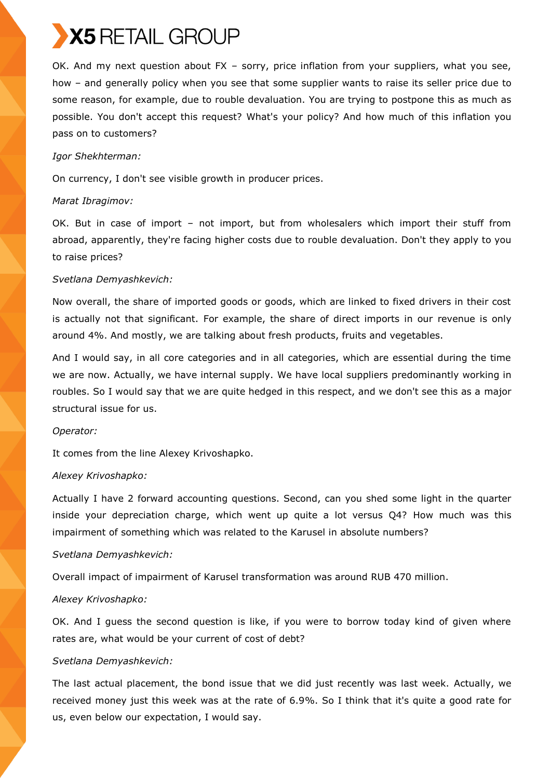OK. And my next question about FX – sorry, price inflation from your suppliers, what you see, how – and generally policy when you see that some supplier wants to raise its seller price due to some reason, for example, due to rouble devaluation. You are trying to postpone this as much as possible. You don't accept this request? What's your policy? And how much of this inflation you pass on to customers?

## *Igor Shekhterman:*

On currency, I don't see visible growth in producer prices.

## *Marat Ibragimov:*

OK. But in case of import – not import, but from wholesalers which import their stuff from abroad, apparently, they're facing higher costs due to rouble devaluation. Don't they apply to you to raise prices?

## *Svetlana Demyashkevich:*

Now overall, the share of imported goods or goods, which are linked to fixed drivers in their cost is actually not that significant. For example, the share of direct imports in our revenue is only around 4%. And mostly, we are talking about fresh products, fruits and vegetables.

And I would say, in all core categories and in all categories, which are essential during the time we are now. Actually, we have internal supply. We have local suppliers predominantly working in roubles. So I would say that we are quite hedged in this respect, and we don't see this as a major structural issue for us.

### *Operator:*

It comes from the line Alexey Krivoshapko.

## *Alexey Krivoshapko:*

Actually I have 2 forward accounting questions. Second, can you shed some light in the quarter inside your depreciation charge, which went up quite a lot versus Q4? How much was this impairment of something which was related to the Karusel in absolute numbers?

## *Svetlana Demyashkevich:*

Overall impact of impairment of Karusel transformation was around RUB 470 million.

## *Alexey Krivoshapko:*

OK. And I guess the second question is like, if you were to borrow today kind of given where rates are, what would be your current of cost of debt?

## *Svetlana Demyashkevich:*

The last actual placement, the bond issue that we did just recently was last week. Actually, we received money just this week was at the rate of 6.9%. So I think that it's quite a good rate for us, even below our expectation, I would say.